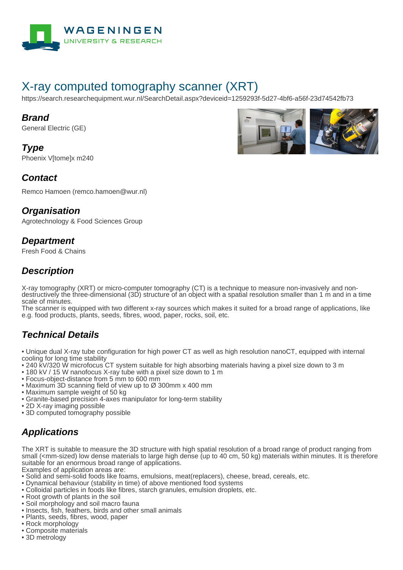

# X-ray computed tomography scanner (XRT)

https://search.researchequipment.wur.nl/SearchDetail.aspx?deviceid=1259293f-5d27-4bf6-a56f-23d74542fb73

#### **Brand**

General Electric (GE)

**Type** Phoenix VItomelx m240



#### **Contact**

Remco Hamoen (remco.hamoen@wur.nl)

#### **Organisation**

Agrotechnology & Food Sciences Group

#### **Department**

Fresh Food & Chains

### **Description**

X-ray tomography (XRT) or micro-computer tomography (CT) is a technique to measure non-invasively and nondestructively the three-dimensional (3D) structure of an object with a spatial resolution smaller than 1 m and in a time scale of minutes.

The scanner is equipped with two different x-ray sources which makes it suited for a broad range of applications, like e.g. food products, plants, seeds, fibres, wood, paper, rocks, soil, etc.

### **Technical Details**

• Unique dual X-ray tube configuration for high power CT as well as high resolution nanoCT, equipped with internal cooling for long time stability

- 240 kV/320 W microfocus CT system suitable for high absorbing materials having a pixel size down to 3 m
- 180 kV / 15 W nanofocus X-ray tube with a pixel size down to 1 m
- Focus-object-distance from 5 mm to 600 mm
- Maximum 3D scanning field of view up to Ø 300mm x 400 mm
- Maximum sample weight of 50 kg
- Granite-based precision 4-axes manipulator for long-term stability
- 2D X-ray imaging possible
- 3D computed tomography possible

## **Applications**

The XRT is suitable to measure the 3D structure with high spatial resolution of a broad range of product ranging from small (<mm-sized) low dense materials to large high dense (up to 40 cm, 50 kg) materials within minutes. It is therefore suitable for an enormous broad range of applications.

Examples of application areas are:

- Solid and semi-solid foods like foams, emulsions, meat(replacers), cheese, bread, cereals, etc.
- Dynamical behaviour (stability in time) of above mentioned food systems
- Colloidal particles in foods like fibres, starch granules, emulsion droplets, etc.
- Root growth of plants in the soil
- Soil morphology and soil macro fauna
- Insects, fish, feathers, birds and other small animals
- Plants, seeds, fibres, wood, paper
- Rock morphology
- Composite materials
- 3D metrology